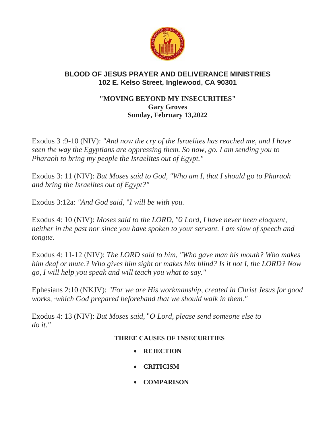

#### **BLOOD OF JESUS PRAYER AND DELIVERANCE MINISTRIES 102 E. Kelso Street, Inglewood, CA 90301**

#### **"MOVING BEYOND MY INSECURITIES" Gary Groves Sunday, February 13,2022**

Exodus 3 :9-10 (NIV): *"And now the cry of the Israelites has reached me, and I have seen the way the Egyptians are oppressing them. So now, go. I am sending you to Pharaoh to bring my people the Israelites out of Egypt."*

Exodus 3: 11 (NIV): *But Moses said to God, "Who am I, that I should* go *to Pharaoh and bring the Israelites out of Egypt?"*

Exodus 3:12a: *"And God said,* "*I will be with you.*

Exodus 4: 10 (NIV): *Moses said to the LORD, "0 Lord, I have never been eloquent, neither in the past nor since you have spoken to your servant. I am slow of speech and tongue.* 

Exodus 4: 11-12 (NIV): *The LORD said to him, "Who gave man his mouth? Who makes him deaf or mute.? Who gives him sight or makes him blind? Is it not I, the LORD? Now go, I will help you speak and will teach you what to say."*

Ephesians 2:10 (NKJV): *"For we are His workmanship, created in Christ Jesus for good works, ·which God prepared beforehand that we should walk in them."*

Exodus 4: 13 (NIV): *But Moses said,* "*O Lord, please send someone else to do it."*

#### **THREE CAUSES OF 1NSECURITIES**

- **REJECTION**
- **CRITICISM**
- **COMPARISON**